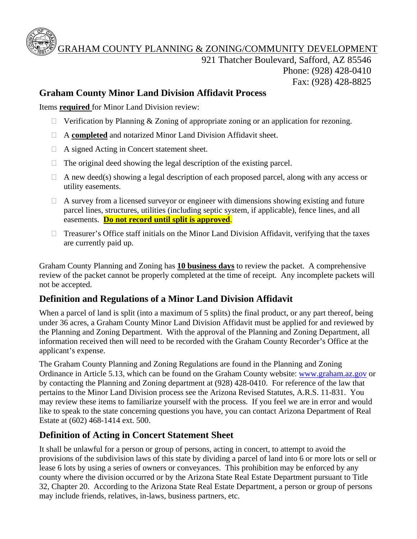GRAHAM COUNTY PLANNING & ZONING/COMMUNITY DEVELOPMENT

921 Thatcher Boulevard, Safford, AZ 85546 Phone: (928) 428-0410 Fax: (928) 428-8825

## **Graham County Minor Land Division Affidavit Process**

Items **required** for Minor Land Division review:

- $\Box$  Verification by Planning & Zoning of appropriate zoning or an application for rezoning.
- A **completed** and notarized Minor Land Division Affidavit sheet.
- □ A signed Acting in Concert statement sheet.
- $\Box$  The original deed showing the legal description of the existing parcel.
- $\Box$  A new deed(s) showing a legal description of each proposed parcel, along with any access or utility easements.
- $\Box$  A survey from a licensed surveyor or engineer with dimensions showing existing and future parcel lines, structures, utilities (including septic system, if applicable), fence lines, and all easements. **Do not record until split is approved**.
- $\Box$  Treasurer's Office staff initials on the Minor Land Division Affidavit, verifying that the taxes are currently paid up.

Graham County Planning and Zoning has **10 business days** to review the packet. A comprehensive review of the packet cannot be properly completed at the time of receipt. Any incomplete packets will not be accepted.

## **Definition and Regulations of a Minor Land Division Affidavit**

When a parcel of land is split (into a maximum of 5 splits) the final product, or any part thereof, being under 36 acres, a Graham County Minor Land Division Affidavit must be applied for and reviewed by the Planning and Zoning Department. With the approval of the Planning and Zoning Department, all information received then will need to be recorded with the Graham County Recorder's Office at the applicant's expense.

The Graham County Planning and Zoning Regulations are found in the Planning and Zoning Ordinance in Article 5.13, which can be found on the Graham County website: www.graham.az.gov or by contacting the Planning and Zoning department at (928) 428-0410. For reference of the law that pertains to the Minor Land Division process see the Arizona Revised Statutes, A.R.S. 11-831. You may review these items to familiarize yourself with the process. If you feel we are in error and would like to speak to the state concerning questions you have, you can contact Arizona Department of Real Estate at (602) 468-1414 ext. 500.

## **Definition of Acting in Concert Statement Sheet**

It shall be unlawful for a person or group of persons, acting in concert, to attempt to avoid the provisions of the subdivision laws of this state by dividing a parcel of land into 6 or more lots or sell or lease 6 lots by using a series of owners or conveyances. This prohibition may be enforced by any county where the division occurred or by the Arizona State Real Estate Department pursuant to Title 32, Chapter 20. According to the Arizona State Real Estate Department, a person or group of persons may include friends, relatives, in-laws, business partners, etc.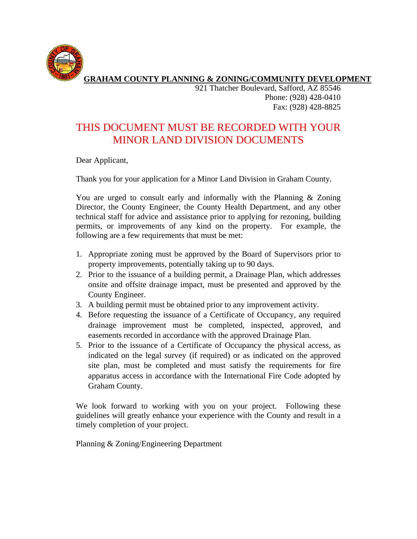

**GRAHAM COUNTY PLANNING & ZONING/COMMUNITY DEVELOPMENT** 

921 Thatcher Boulevard, Safford, AZ 85546 Phone: (928) 428-0410 Fax: (928) 428-8825

# THIS DOCUMENT MUST BE RECORDED WITH YOUR MINOR LAND DIVISION DOCUMENTS

Dear Applicant,

Thank you for your application for a Minor Land Division in Graham County.

You are urged to consult early and informally with the Planning & Zoning Director, the County Engineer, the County Health Department, and any other technical staff for advice and assistance prior to applying for rezoning, building permits, or improvements of any kind on the property. For example, the following are a few requirements that must be met:

- 1. Appropriate zoning must be approved by the Board of Supervisors prior to property improvements, potentially taking up to 90 days.
- 2. Prior to the issuance of a building permit, a Drainage Plan, which addresses onsite and offsite drainage impact, must be presented and approved by the County Engineer.
- 3. A building permit must be obtained prior to any improvement activity.
- 4. Before requesting the issuance of a Certificate of Occupancy, any required drainage improvement must be completed, inspected, approved, and easements recorded in accordance with the approved Drainage Plan.
- 5. Prior to the issuance of a Certificate of Occupancy the physical access, as indicated on the legal survey (if required) or as indicated on the approved site plan, must be completed and must satisfy the requirements for fire apparatus access in accordance with the International Fire Code adopted by Graham County.

We look forward to working with you on your project. Following these guidelines will greatly enhance your experience with the County and result in a timely completion of your project.

Planning & Zoning/Engineering Department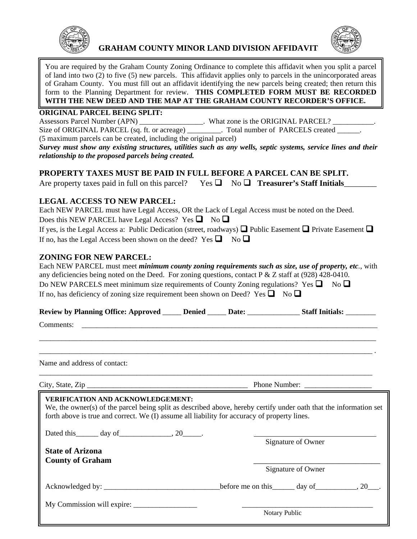

**GRAHAM COUNTY MINOR LAND DIVISION AFFIDAVIT** 



You are required by the Graham County Zoning Ordinance to complete this affidavit when you split a parcel of land into two (2) to five (5) new parcels. This affidavit applies only to parcels in the unincorporated areas of Graham County. You must fill out an affidavit identifying the new parcels being created; then return this form to the Planning Department for review. **THIS COMPLETED FORM MUST BE RECORDED WITH THE NEW DEED AND THE MAP AT THE GRAHAM COUNTY RECORDER'S OFFICE.** 

**ORIGINAL PARCEL BEING SPLIT:** 

Assessors Parcel Number (APN) \_\_\_\_\_\_\_\_\_\_\_\_\_\_\_\_. What zone is the ORIGINAL PARCEL? Size of ORIGINAL PARCEL (sq. ft. or acreage) \_\_\_\_\_\_\_\_. Total number of PARCELS created \_\_\_\_\_\_.

(5 maximum parcels can be created, including the original parcel)

*Survey must show any existing structures, utilities such as any wells, septic systems, service lines and their relationship to the proposed parcels being created.* 

## **PROPERTY TAXES MUST BE PAID IN FULL BEFORE A PARCEL CAN BE SPLIT.**

Are property taxes paid in full on this parcel? Yes  $\Box$  No  $\Box$  **Treasurer's Staff Initials** 

### **LEGAL ACCESS TO NEW PARCEL:**

Each NEW PARCEL must have Legal Access, OR the Lack of Legal Access must be noted on the Deed. Does this NEW PARCEL have Legal Access? Yes  $\Box$  No  $\Box$ 

| If yes, is the Legal Access a: Public Dedication (street, roadways) $\Box$ Public Easement $\Box$ Private Easement $\Box$ |  |
|---------------------------------------------------------------------------------------------------------------------------|--|
| If no, has the Legal Access been shown on the deed? Yes $\Box$ No $\Box$                                                  |  |

### **ZONING FOR NEW PARCEL:**

Each NEW PARCEL must meet *minimum county zoning requirements such as size, use of property, etc.*, with any deficiencies being noted on the Deed. For zoning questions, contact  $P \& Z$  staff at (928) 428-0410. Do NEW PARCELS meet minimum size requirements of County Zoning regulations? Yes  $\Box$  No  $\Box$ If no, has deficiency of zoning size requirement been shown on Deed? Yes  $\Box$  No  $\Box$ 

| <b>Review by Planning Office: Approved</b> | <b>Denied</b> | Date: | <b>Staff Initials:</b> |
|--------------------------------------------|---------------|-------|------------------------|
|--------------------------------------------|---------------|-------|------------------------|

\_\_\_\_\_\_\_\_\_\_\_\_\_\_\_\_\_\_\_\_\_\_\_\_\_\_\_\_\_\_\_\_\_\_\_\_\_\_\_\_\_\_\_\_\_\_\_\_\_\_\_\_\_\_\_\_\_\_\_\_\_\_\_\_\_\_\_\_\_\_\_\_\_\_\_\_\_\_\_\_\_\_\_\_\_\_\_\_\_\_ \_\_\_\_\_\_\_\_\_\_\_\_\_\_\_\_\_\_\_\_\_\_\_\_\_\_\_\_\_\_\_\_\_\_\_\_\_\_\_\_\_\_\_\_\_\_\_\_\_\_\_\_\_\_\_\_\_\_\_\_\_\_\_\_\_\_\_\_\_\_\_\_\_\_\_\_\_\_\_\_\_\_\_\_\_\_\_\_\_ .

\_\_\_\_\_\_\_\_\_\_\_\_\_\_\_\_\_\_\_\_\_\_\_\_\_\_\_\_\_\_\_\_\_\_\_\_\_\_\_\_\_\_\_\_\_\_\_\_\_\_\_\_\_\_\_\_\_\_\_\_\_\_\_\_\_\_\_\_\_\_\_\_\_\_\_\_\_\_\_\_\_\_\_\_\_\_\_\_\_

Comments: \_\_\_\_\_\_\_\_\_\_\_\_\_\_\_\_\_\_\_\_\_\_\_\_\_\_\_\_\_\_\_\_\_\_\_\_\_\_\_\_\_\_\_\_\_\_\_\_\_\_\_\_\_\_\_\_\_\_\_\_\_\_\_\_\_\_\_\_\_\_\_\_\_\_\_\_\_\_\_

Name and address of contact:

City, State, Zip \_\_\_\_\_\_\_\_\_\_\_\_\_\_\_\_\_\_\_\_\_\_\_\_\_\_\_\_\_\_\_\_\_\_\_\_\_\_\_\_\_\_\_ Phone Number: \_\_\_\_\_\_\_\_\_\_\_\_\_\_\_\_\_\_

| <b>VERIFICATION AND ACKNOWLEDGEMENT:</b><br>We, the owner(s) of the parcel being split as described above, hereby certify under oath that the information set<br>forth above is true and correct. We (I) assume all liability for accuracy of property lines. |                                                                              |
|---------------------------------------------------------------------------------------------------------------------------------------------------------------------------------------------------------------------------------------------------------------|------------------------------------------------------------------------------|
| Dated this $\_\_\_\_$ day of $\_\_\_\_\_\_$ , 20 $\_\_\_\_\_\_$ .                                                                                                                                                                                             |                                                                              |
|                                                                                                                                                                                                                                                               | Signature of Owner                                                           |
| <b>State of Arizona</b>                                                                                                                                                                                                                                       |                                                                              |
| <b>County of Graham</b>                                                                                                                                                                                                                                       |                                                                              |
|                                                                                                                                                                                                                                                               | Signature of Owner                                                           |
|                                                                                                                                                                                                                                                               | before me on this $\_\_\_\_$ day of $\_\_\_\_\_$ , 20 $\_\_\_\_\_\_\_\_\_$ . |
|                                                                                                                                                                                                                                                               | <b>Notary Public</b>                                                         |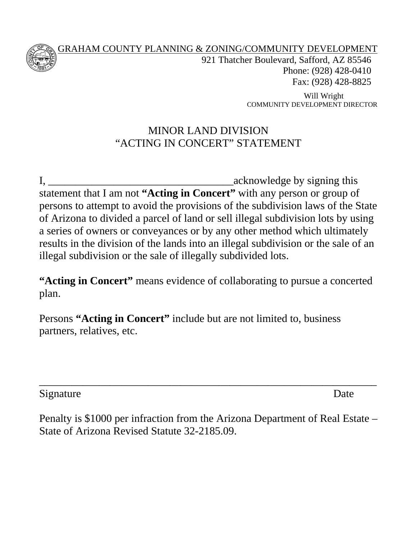GRAHAM COUNTY PLANNING & ZONING/COMMUNITY DEVELOPMENT



921 Thatcher Boulevard, Safford, AZ 85546 Phone: (928) 428-0410 Fax: (928) 428-8825

> Will Wright COMMUNITY DEVELOPMENT DIRECTOR

# MINOR LAND DIVISION "ACTING IN CONCERT" STATEMENT

I, acknowledge by signing this statement that I am not **"Acting in Concert"** with any person or group of persons to attempt to avoid the provisions of the subdivision laws of the State of Arizona to divided a parcel of land or sell illegal subdivision lots by using a series of owners or conveyances or by any other method which ultimately results in the division of the lands into an illegal subdivision or the sale of an illegal subdivision or the sale of illegally subdivided lots.

**"Acting in Concert"** means evidence of collaborating to pursue a concerted plan.

Persons **"Acting in Concert"** include but are not limited to, business partners, relatives, etc.

Signature Date

Penalty is \$1000 per infraction from the Arizona Department of Real Estate – State of Arizona Revised Statute 32-2185.09.

\_\_\_\_\_\_\_\_\_\_\_\_\_\_\_\_\_\_\_\_\_\_\_\_\_\_\_\_\_\_\_\_\_\_\_\_\_\_\_\_\_\_\_\_\_\_\_\_\_\_\_\_\_\_\_\_\_\_\_\_\_\_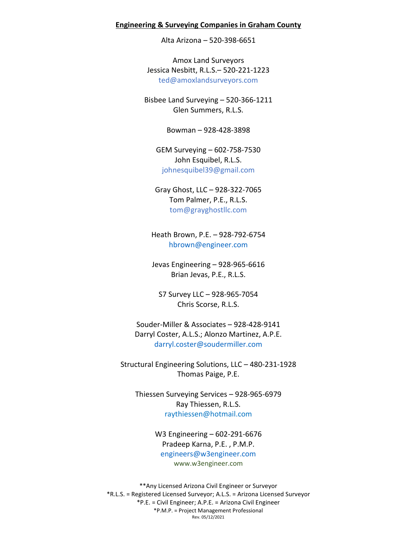#### **Engineering & Surveying Companies in Graham County**

Alta Arizona – 520-398-6651

Amox Land Surveyors Jessica Nesbitt, R.L.S.– 520-221-1223 ted@amoxlandsurveyors.com

Bisbee Land Surveying – 520-366-1211 Glen Summers, R.L.S.

Bowman – 928-428-3898

GEM Surveying – 602-758-7530 John Esquibel, R.L.S. johnesquibel39@gmail.com

Gray Ghost, LLC – 928-322-7065 Tom Palmer, P.E., R.L.S. tom@grayghostllc.com

Heath Brown, P.E. – 928-792-6754 [hbrown@engineer.com](mailto:hbrown@engineer.com)

Jevas Engineering – 928-965-6616 Brian Jevas, P.E., R.L.S.

S7 Survey LLC – 928-965-7054 Chris Scorse, R.L.S.

Souder-Miller & Associates – 928-428-9141 Darryl Coster, A.L.S.; Alonzo Martinez, A.P.E. [darryl.coster@soudermiller.com](mailto:darryl.coster@soudermiller.com)

Structural Engineering Solutions, LLC – 480-231-1928 Thomas Paige, P.E.

Thiessen Surveying Services – 928-965-6979 Ray Thiessen, R.L.S. raythiessen@hotmail.com

> W3 Engineering – 602-291-6676 Pradeep Karna, P.E. , P.M.P. [engineers@w3engineer.com](mailto:engineers@w3engineer.com) [www.w3engineer.com](https://linkprotect.cudasvc.com/url?a=http%3a%2f%2fwww.w3engineer.com&c=E,1,vrxALsKosiDz-MrFYViOIY2G_Yok4HaxJ0H-zZN4BbjoePcVzIvtPG4e2Olx6F8b3O-mhlWsTTxUjUGtz07j5pcAt_3s_LiqcMZUKojf&typo=1)

\*\*Any Licensed Arizona Civil Engineer or Surveyor \*R.L.S. = Registered Licensed Surveyor; A.L.S. = Arizona Licensed Surveyor \*P.E. = Civil Engineer; A.P.E. = Arizona Civil Engineer \*P.M.P. = Project Management Professional Rev. 05/12/2021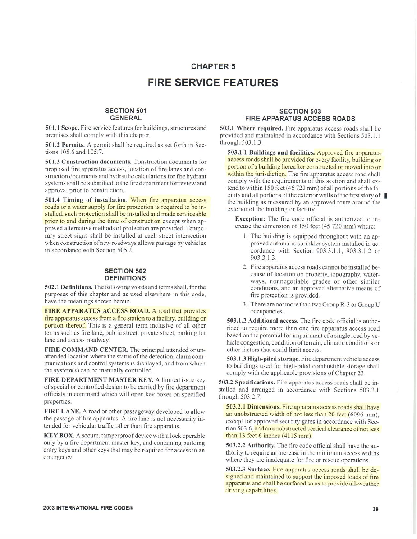# **CHAPTER 5 FIRE SERVICE FEATURES**

#### **SECTION 501 GENERAL**

501.1 Scope. Fire service features for buildings, structures and premises shall comply with this chapter.

501.2 Permits. A permit shall be required as set forth in Sections 105.6 and 105.7.

501.3 Construction documents. Construction documents for proposed fire apparatus access, location of fire lanes and construction documents and hydraulic calculations for fire hydrant systems shall be submitted to the fire department for review and approval prior to construction.

501.4 Timing of installation. When fire apparatus access roads or a water supply for fire protection is required to be installed, such protection shall be installed and made serviceable prior to and during the time of construction except when approved alternative methods of protection are provided. Temporary street signs shall be installed at each street intersection when construction of new roadways allows passage by vehicles in accordance with Section 505.2.

#### **SECTION 502 DEFINITIONS**

502.1 Definitions. The following words and terms shall, for the purposes of this chapter and as used elsewhere in this code. have the meanings shown herein.

FIRE APPARATUS ACCESS ROAD. A road that provides fire apparatus access from a fire station to a facility, building or portion thereof. This is a general term inclusive of all other terms such as fire lane, public street, private street, parking lot lane and access roadway.

FIRE COMMAND CENTER. The principal attended or unattended location where the status of the detection, alarm communications and control systems is displayed, and from which the system(s) can be manually controlled.

FIRE DEPARTMENT MASTER KEY. A limited issue key of special or controlled design to be carried by fire department officials in command which will open key boxes on specified properties.

FIRE LANE. A road or other passageway developed to allow the passage of fire apparatus. A fire lane is not necessarily intended for vehicular traffic other than fire apparatus.

KEY BOX. A secure, tamperproof device with a lock operable only by a fire department master key, and containing building entry keys and other keys that may be required for access in an emergency.

#### **SECTION 503 FIRE APPARATUS ACCESS ROADS**

503.1 Where required. Fire apparatus access roads shall be provided and maintained in accordance with Sections 503.1.1 through 503.1.3.

503.1.1 Buildings and facilities. Approved fire apparatus access roads shall be provided for every facility, building or portion of a building hereafter constructed or moved into or within the jurisdiction. The fire apparatus access road shall comply with the requirements of this section and shall extend to within 150 feet (45 720 mm) of all portions of the facility and all portions of the exterior walls of the first story of the building as measured by an approved route around the exterior of the building or facility.

Exception: The fire code official is authorized to increase the dimension of 150 feet (45 720 mm) where:

- 1. The building is equipped throughout with an approved automatic sprinkler system installed in accordance with Section 903.3.1.1, 903.3.1.2 or 903.3.1.3.
- 2. Fire apparatus access roads cannot be installed because of location on property, topography, waterways, nonnegotiable grades or other similar conditions, and an approved alternative means of fire protection is provided.
- 3. There are not more than two Group R-3 or Group U occupancies.

503.1.2 Additional access. The fire code official is authorized to require more than one fire apparatus access road based on the potential for impairment of a single road by vehicle congestion, condition of terrain, climatic conditions or other factors that could limit access.

503.1.3 High-piled storage. Fire department vehicle access to buildings used for high-piled combustible storage shall comply with the applicable provisions of Chapter 23.

503.2 Specifications. Fire apparatus access roads shall be installed and arranged in accordance with Sections 503.2.1 through 503.2.7.

503.2.1 Dimensions. Fire apparatus access roads shall have an unobstructed width of not less than 20 feet (6096 mm), except for approved security gates in accordance with Section 503.6, and an unobstructed vertical clearance of not less than 13 feet 6 inches (4115 mm).

503.2.2 Authority. The fire code official shall have the authority to require an increase in the minimum access widths where they are inadequate for fire or rescue operations.

503.2.3 Surface. Fire apparatus access roads shall be designed and maintained to support the imposed loads of fire apparatus and shall be surfaced so as to provide all-weather driving capabilities.